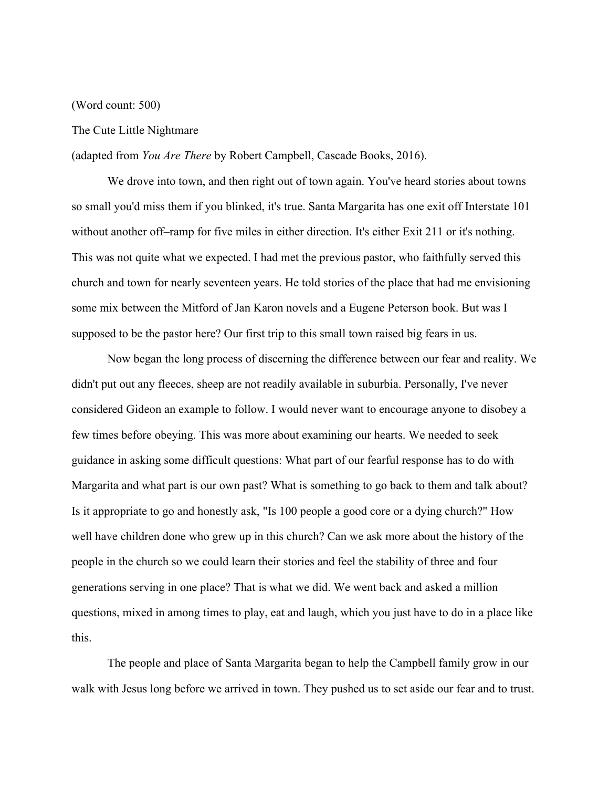## (Word count: 500)

## The Cute Little Nightmare

(adapted from *You Are There* by Robert Campbell, Cascade Books, 2016).

We drove into town, and then right out of town again. You've heard stories about towns so small you'd miss them if you blinked, it's true. Santa Margarita has one exit off Interstate 101 without another off–ramp for five miles in either direction. It's either Exit 211 or it's nothing. This was not quite what we expected. I had met the previous pastor, who faithfully served this church and town for nearly seventeen years. He told stories of the place that had me envisioning some mix between the Mitford of Jan Karon novels and a Eugene Peterson book. But was I supposed to be the pastor here? Our first trip to this small town raised big fears in us.

Now began the long process of discerning the difference between our fear and reality. We didn't put out any fleeces, sheep are not readily available in suburbia. Personally, I've never considered Gideon an example to follow. I would never want to encourage anyone to disobey a few times before obeying. This was more about examining our hearts. We needed to seek guidance in asking some difficult questions: What part of our fearful response has to do with Margarita and what part is our own past? What is something to go back to them and talk about? Is it appropriate to go and honestly ask, "Is 100 people a good core or a dying church?" How well have children done who grew up in this church? Can we ask more about the history of the people in the church so we could learn their stories and feel the stability of three and four generations serving in one place? That is what we did. We went back and asked a million questions, mixed in among times to play, eat and laugh, which you just have to do in a place like this.

The people and place of Santa Margarita began to help the Campbell family grow in our walk with Jesus long before we arrived in town. They pushed us to set aside our fear and to trust.